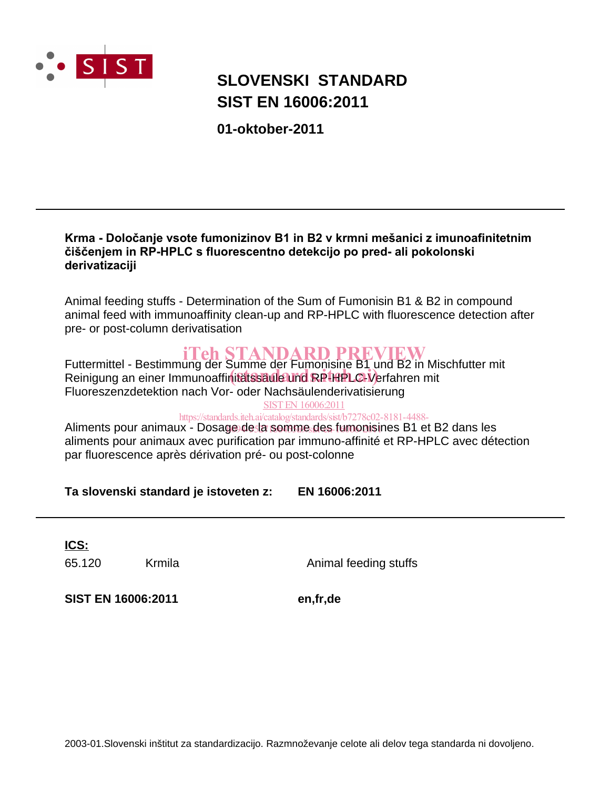

# **SIST EN 16006:2011 SLOVENSKI STANDARD**

**01-oktober-2011**

### Krma - Določanje vsote fumonizinov B1 in B2 v krmni mešanici z imunoafinitetnim čiščenjem in RP-HPLC s fluorescentno detekcijo po pred- ali pokolonski derivatizaciii

Animal feeding stuffs - Determination of the Sum of Fumonisin B1 & B2 in compound animal feed with immunoaffinity clean-up and RP-HPLC with fluorescence detection after pre- or post-column derivatisation

# **Futtermittel - Bestimmung der Summe der Fumonisine B1 und B2 in Mischfutter mit**

r atternator Bestimmang der Samme der Fahlomshie Brand B2 in Mit.<br>Reinigung an einer Immunoaffinitätssäule und RP-HPLC-Verfahren mit Fluoreszenzdetektion nach Vor- oder Nachsäulenderivatisierung SIST EN 16006:2011

https://standards.iteh.ai/catalog/standards/sist/b7278c02-8181-4488-

Aliments pour animaux - Dosage de la somme des fumonisines B1 et B2 dans les aliments pour animaux avec purification par immuno-affinité et RP-HPLC avec détection par fluorescence après dérivation pré- ou post-colonne

**Ta slovenski standard je istoveten z: EN 16006:2011**

**ICS:**

65.120 Krmila Animal feeding stuffs

**SIST EN 16006:2011 en,fr,de**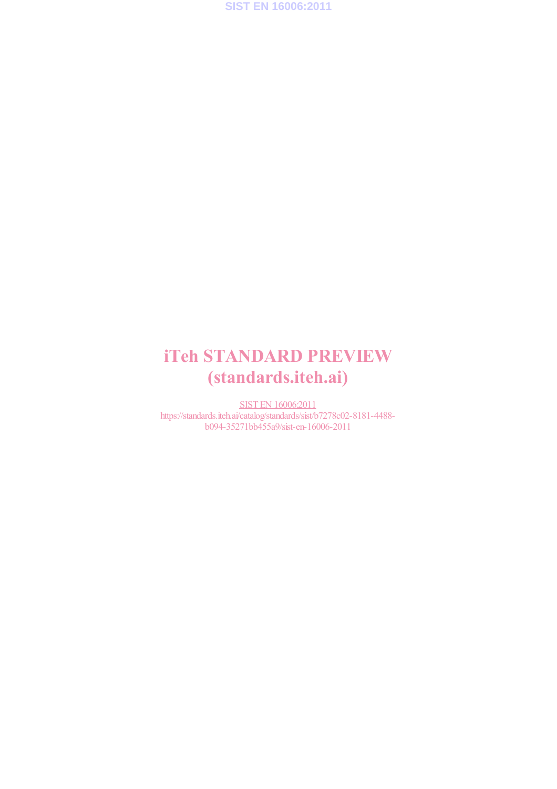

# iTeh STANDARD PREVIEW (standards.iteh.ai)

SIST EN 16006:2011 https://standards.iteh.ai/catalog/standards/sist/b7278c02-8181-4488 b094-35271bb455a9/sist-en-16006-2011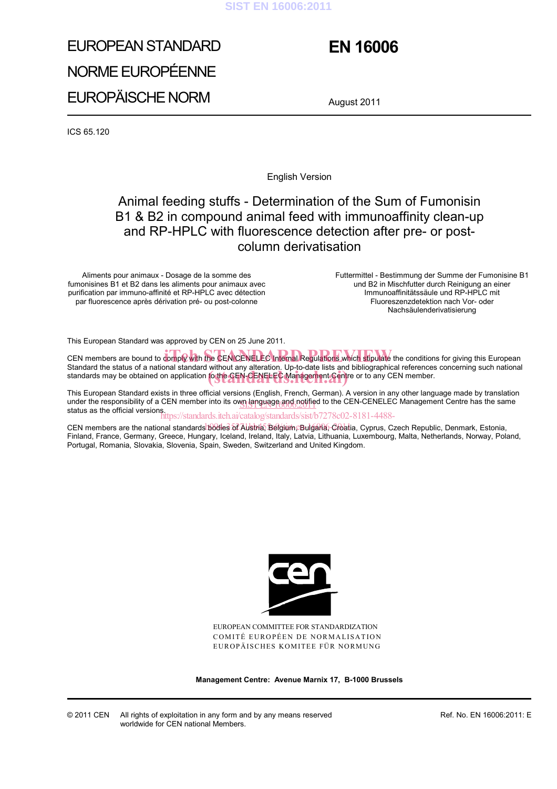#### **SIST EN 16006:2011**

# EUROPEAN STANDARD NORME EUROPÉENNE EUROPÄISCHE NORM

# **EN 16006**

August 2011

ICS 65.120

English Version

# Animal feeding stuffs - Determination of the Sum of Fumonisin B1 & B2 in compound animal feed with immunoaffinity clean-up and RP-HPLC with fluorescence detection after pre- or postcolumn derivatisation

Aliments pour animaux - Dosage de la somme des fumonisines B1 et B2 dans les aliments pour animaux avec purification par immuno-affinité et RP-HPLC avec détection par fluorescence après dérivation pré- ou post-colonne

 Futtermittel - Bestimmung der Summe der Fumonisine B1 und B2 in Mischfutter durch Reinigung an einer Immunoaffinitätssäule und RP-HPLC mit Fluoreszenzdetektion nach Vor- oder Nachsäulenderivatisierung

This European Standard was approved by CEN on 25 June 2011.

CEN members are bound to comply with the CEN/CENELEC Internal Regulations which stipulate the conditions for giving this European Standard the status of a national standard without any alteration. Up-to-date lists and bibliographical references concerning such national Standards may be obtained on application to the CEN-CENELEC Management Centre or to any CEN member.

This European Standard exists in three official versions (English, French, German). A version in any other language made by translation under the responsibility of a CEN member into its own language and notified to the CEN-CENELEC Management Centre has the same under the responsibility of a CEN member into its own language and notified<br>status as the official versions. https://standards.iteh.ai/catalog/standards/sist/b7278c02-8181-4488-

CEN members are the national standards bodies of Austria, Belgium, Bulgana, Croatia, Cyprus, Czech Republic, Denmark, Estonia, Finland, France, Germany, Greece, Hungary, Iceland, Ireland, Italy, Latvia, Lithuania, Luxembourg, Malta, Netherlands, Norway, Poland, Portugal, Romania, Slovakia, Slovenia, Spain, Sweden, Switzerland and United Kingdom.



EUROPEAN COMMITTEE FOR STANDARDIZATION COMITÉ EUROPÉEN DE NORMALISATION EUROPÄISCHES KOMITEE FÜR NORMUNG

**Management Centre: Avenue Marnix 17, B-1000 Brussels** 

Ref. No. EN 16006:2011: E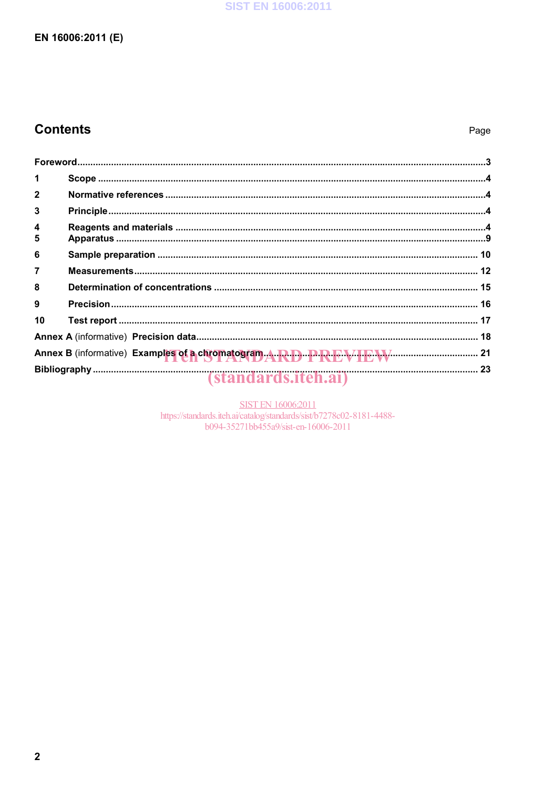#### **SIST EN 16006:2011**

### EN 16006:2011 (E)

# **Contents**

| $\blacktriangleleft$                                                        |  |  |  |  |
|-----------------------------------------------------------------------------|--|--|--|--|
| $\mathbf{2}$                                                                |  |  |  |  |
| 3                                                                           |  |  |  |  |
| $\overline{\mathbf{4}}$<br>5                                                |  |  |  |  |
| 6                                                                           |  |  |  |  |
| $\overline{7}$                                                              |  |  |  |  |
| 8                                                                           |  |  |  |  |
| 9                                                                           |  |  |  |  |
| 10                                                                          |  |  |  |  |
|                                                                             |  |  |  |  |
| Annex B (informative) Examples of a chromatogram ARD PREVIEW COMMUNISTIE 21 |  |  |  |  |
|                                                                             |  |  |  |  |

SIST EN 16006:2011<br>https://standards.iteh.ai/catalog/standards/sist/b7278c02-8181-4488b094-35271bb455a9/sist-en-16006-2011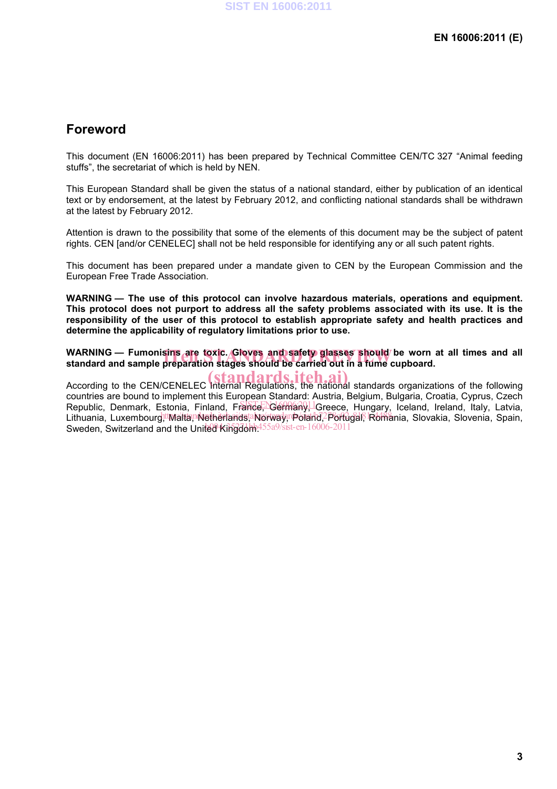### **Foreword**

This document (EN 16006:2011) has been prepared by Technical Committee CEN/TC 327 "Animal feeding stuffs", the secretariat of which is held by NEN.

This European Standard shall be given the status of a national standard, either by publication of an identical text or by endorsement, at the latest by February 2012, and conflicting national standards shall be withdrawn at the latest by February 2012.

Attention is drawn to the possibility that some of the elements of this document may be the subject of patent rights. CEN [and/or CENELEC] shall not be held responsible for identifying any or all such patent rights.

This document has been prepared under a mandate given to CEN by the European Commission and the European Free Trade Association.

**WARNING — The use of this protocol can involve hazardous materials, operations and equipment. This protocol does not purport to address all the safety problems associated with its use. It is the responsibility of the user of this protocol to establish appropriate safety and health practices and determine the applicability of regulatory limitations prior to use.** 

WARNING — Fumonisins are toxic. Gloves and safety glasses should be worn at all times and all<br>standard and sample preparation stages should be carried out in a fume cupboard. **standard and sample preparation stages should be carried out in a fume cupboard.** 

According to the CEN/CENELEC Internal Regulations, the national standards organizations of the following countries are bound to implement this European Standard: Austria, Belgium, Bulgaria, Croatia, Cyprus, Czech Le marine are a came to imprement and Lington Barry Germany, Legislam, Lenguan, Leonar, Cyprus, Clearn, 1998. Lithuania, Luxembourg¦ttMalta, Netherlands, Norway, Poland, Portugal, Romania, Slovakia, Slovenia, Spain, Sweden, Switzerland and the United Kingdom 455a9/sist-en-16006-2011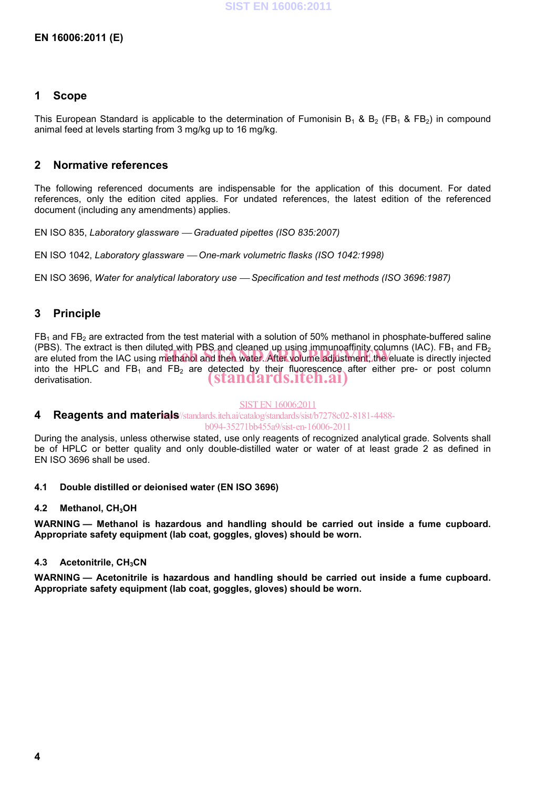#### **1 Scope**

This European Standard is applicable to the determination of Fumonisin B<sub>1</sub> & B<sub>2</sub> (FB<sub>1</sub> & FB<sub>2</sub>) in compound animal feed at levels starting from 3 mg/kg up to 16 mg/kg.

#### **2 Normative references**

The following referenced documents are indispensable for the application of this document. For dated references, only the edition cited applies. For undated references, the latest edition of the referenced document (including any amendments) applies.

EN ISO 835, *Laboratory glassware Graduated pipettes (ISO 835:2007)* 

EN ISO 1042, *Laboratory glassware One-mark volumetric flasks (ISO 1042:1998)* 

EN ISO 3696, *Water for analytical laboratory use Specification and test methods (ISO 3696:1987)* 

#### **3 Principle**

 $FB<sub>1</sub>$  and FB<sub>2</sub> are extracted from the test material with a solution of 50% methanol in phosphate-buffered saline (PBS). The extract is then diluted with PBS and cleaned up using immunoaffinity columns (IAC). FB<sub>1</sub> and FB<sub>2</sub>  $(PSS)$ . The extract is then diluted with PBS and cleaned up using immunoanting columns (IAC). FB<sub>1</sub> and PB<sub>2</sub> and PB<sub>2</sub> and PB<sub>2</sub> and PB<sub>2</sub> and PB<sub>2</sub> and PB<sub>2</sub> and PB<sub>2</sub> and PB<sub>2</sub> and PB<sub>2</sub> and PB<sub>2</sub> and PB<sub>2</sub> and PB<sub>2</sub> a into the HPLC and  $FB_1$  and  $FB_2$  are detected by their fluorescence after either pre- or post column derivatisation. (standards.iteh.ai)

#### SIST EN 16006:2011

#### 4 Reagents and materials//standards.iteh.ai/catalog/standards/sist/b7278c02-8181-4488b094-35271bb455a9/sist-en-16006-2011

During the analysis, unless otherwise stated, use only reagents of recognized analytical grade. Solvents shall be of HPLC or better quality and only double-distilled water or water of at least grade 2 as defined in EN ISO 3696 shall be used.

#### **4.1 Double distilled or deionised water (EN ISO 3696)**

#### **4.2 Methanol, CH3OH**

**WARNING — Methanol is hazardous and handling should be carried out inside a fume cupboard. Appropriate safety equipment (lab coat, goggles, gloves) should be worn.** 

#### **4.3 Acetonitrile, CH<sub>3</sub>CN**

**WARNING — Acetonitrile is hazardous and handling should be carried out inside a fume cupboard. Appropriate safety equipment (lab coat, goggles, gloves) should be worn.**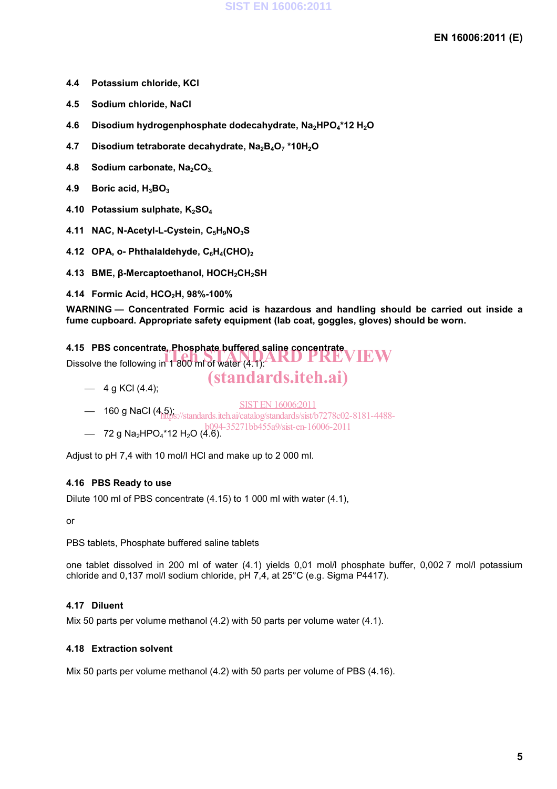- **4.4 Potassium chloride, KCl**
- **4.5 Sodium chloride, NaCl**
- **4.6 Disodium hydrogenphosphate dodecahydrate, Na<sub>2</sub>HPO<sub>4</sub>\*12 H<sub>2</sub>O**
- **4.7** Disodium tetraborate decahydrate, Na<sub>2</sub>B<sub>4</sub>O<sub>7</sub> \*10H<sub>2</sub>O
- **4.8 Sodium carbonate, Na<sub>2</sub>CO<sub>3</sub>.**
- **4.9 Boric acid, H3BO3**
- **4.10 Potassium sulphate, K<sub>2</sub>SO<sub>4</sub>**
- **4.11 NAC, N-Acetyl-L-Cystein, C5H9NO3S**
- 4.12 OPA, o- Phthalaldehyde, C<sub>6</sub>H<sub>4</sub>(CHO)<sub>2</sub>
- **4.13 BME, β-Mercaptoethanol, HOCH2CH2SH**
- **4.14 Formic Acid, HCO2H, 98%-100%**

**WARNING — Concentrated Formic acid is hazardous and handling should be carried out inside a fume cupboard. Appropriate safety equipment (lab coat, goggles, gloves) should be worn.** 

**4.15 PBS concentrate, Phosphate buffered saline concentrate**  4.15  $\cdot$  PBS concentrate, Phosphate burnered saline concentrate<br>Dissolve the following in 1 800 ml of water (4.1):

- (standards.iteh.ai)
- $-4$  g KCl (4.4);
- $-$  160 g NaCl (4.5);  $\frac{1}{\text{https://standards.iteh.aivcatalog/standards/sist/b7278c02-8181-4488-}}$ SIST EN 16006:2011
- b094-35271bb455a9/sist-en-16006-2011
- $-$  72 g Na<sub>2</sub>HPO<sub>4</sub>\*12 H<sub>2</sub>O (4.6).

Adjust to pH 7,4 with 10 mol/l HCl and make up to 2 000 ml.

#### **4.16 PBS Ready to use**

Dilute 100 ml of PBS concentrate (4.15) to 1 000 ml with water (4.1),

or

PBS tablets, Phosphate buffered saline tablets

one tablet dissolved in 200 ml of water (4.1) yields 0,01 mol/l phosphate buffer, 0,002 7 mol/l potassium chloride and 0,137 mol/l sodium chloride, pH 7,4, at 25°C (e.g. Sigma P4417).

#### **4.17 Diluent**

Mix 50 parts per volume methanol (4.2) with 50 parts per volume water (4.1).

#### **4.18 Extraction solvent**

Mix 50 parts per volume methanol (4.2) with 50 parts per volume of PBS (4.16).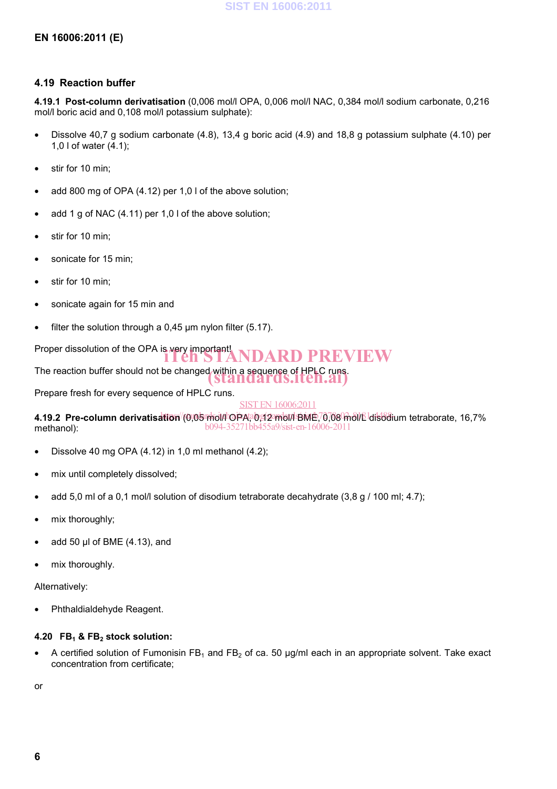#### **4.19 Reaction buffer**

**4.19.1 Post-column derivatisation** (0,006 mol/l OPA, 0,006 mol/l NAC, 0,384 mol/l sodium carbonate, 0,216 mol/l boric acid and 0,108 mol/l potassium sulphate):

- Dissolve 40,7 g sodium carbonate (4.8), 13,4 g boric acid (4.9) and 18,8 g potassium sulphate (4.10) per 1,0 l of water (4.1);
- stir for 10 min;
- add 800 mg of OPA (4.12) per 1,0 l of the above solution;
- add 1 g of NAC (4.11) per 1,0 l of the above solution;
- stir for 10 min;
- sonicate for 15 min;
- stir for 10 min;
- sonicate again for 15 min and
- filter the solution through a  $0,45$  µm nylon filter (5.17).

Proper dissolution of the OPA is very important! iTeh STANDARD PREVIEW

The reaction buffer should not be changed within a sequence of HPLC runs.<br>
Standards.iten.ai

Prepare fresh for every sequence of HPLC runs.

#### SIST EN 16006:2011

4**.19.2 Pre-column derivatisation**/(0,05 mol/l OPA, 0,42 mol/l BML70,08 mol/L disodium tetraborate, 16,7% methanol): b094-35271bb455a9/sist-en-16006-2011

- Dissolve 40 mg OPA (4.12) in 1,0 ml methanol (4.2);
- mix until completely dissolved;
- add 5,0 ml of a 0,1 mol/l solution of disodium tetraborate decahydrate (3,8 g / 100 ml; 4.7);
- mix thoroughly;
- add 50 µl of BME (4.13), and
- mix thoroughly.

Alternatively:

• Phthaldialdehyde Reagent.

#### **4.20 FB1 & FB2 stock solution:**

A certified solution of Fumonisin FB<sub>1</sub> and FB<sub>2</sub> of ca. 50  $\mu$ g/ml each in an appropriate solvent. Take exact concentration from certificate;

or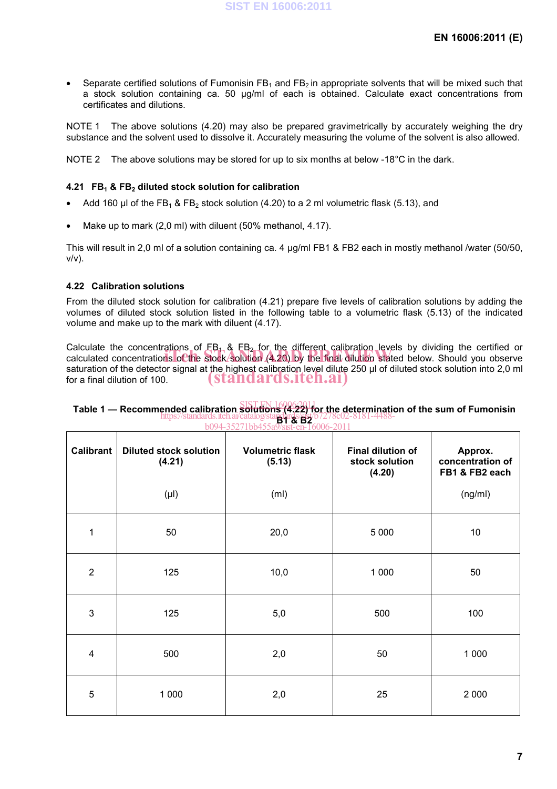Separate certified solutions of Fumonisin  $FB<sub>1</sub>$  and  $FB<sub>2</sub>$  in appropriate solvents that will be mixed such that a stock solution containing ca. 50 µg/ml of each is obtained. Calculate exact concentrations from certificates and dilutions.

NOTE 1 The above solutions (4.20) may also be prepared gravimetrically by accurately weighing the dry substance and the solvent used to dissolve it. Accurately measuring the volume of the solvent is also allowed.

NOTE 2 The above solutions may be stored for up to six months at below -18°C in the dark.

#### **4.21 FB1 & FB2 diluted stock solution for calibration**

- Add 160 µl of the FB<sub>1</sub> & FB<sub>2</sub> stock solution (4.20) to a 2 ml volumetric flask (5.13), and
- Make up to mark (2,0 ml) with diluent (50% methanol, 4.17).

This will result in 2.0 ml of a solution containing ca. 4 ug/ml FB1 & FB2 each in mostly methanol /water (50/50, v/v).

#### **4.22 Calibration solutions**

From the diluted stock solution for calibration (4.21) prepare five levels of calibration solutions by adding the volumes of diluted stock solution listed in the following table to a volumetric flask (5.13) of the indicated volume and make up to the mark with diluent (4.17).

Calculate the concentrations of  $FB_4$  &  $FB_2$  for the different calibration levels by dividing the certified or Calculated concentrations of  $FB<sub>1</sub>$   $\alpha$   $FB<sub>2</sub>$  for the different calibration levels by dividing the certified or calculated concentrations of the stock solution  $(4.20)$  by the final dilution stated below. Should saturation of the detector signal at the highest calibration level dilute 250 µl of diluted stock solution into 2,0 ml for a final dilution of 100. (standards.iteh.ai)

#### **Table 1 — Recommended calibration solutions (4.22) for the determination of the sum of Fumonisin**  SIST EN 16006:2011 **B1 & B2**  b094-35271bb455a9/sist-en-16006-2011https://standards.iteh.ai/catalog/standards/sist/b7278c02-8181-4488-

| <b>Calibrant</b> | <b>Diluted stock solution</b><br>(4.21) | <b>Volumetric flask</b><br>(5.13) | <b>Final dilution of</b><br>stock solution<br>(4.20) | Approx.<br>concentration of<br>FB1 & FB2 each |
|------------------|-----------------------------------------|-----------------------------------|------------------------------------------------------|-----------------------------------------------|
|                  | $(\mu I)$                               | (m <sub>l</sub> )                 |                                                      | (ng/ml)                                       |
| 1                | 50                                      | 20,0                              | 5 0 0 0                                              | 10                                            |
| $\overline{2}$   | 125                                     | 10,0                              | 1 0 0 0                                              | 50                                            |
| 3                | 125                                     | 5,0                               | 500                                                  | 100                                           |
| 4                | 500                                     | 2,0                               | 50                                                   | 1 0 0 0                                       |
| $\sqrt{5}$       | 1 0 0 0                                 | 2,0                               | 25                                                   | 2 0 0 0                                       |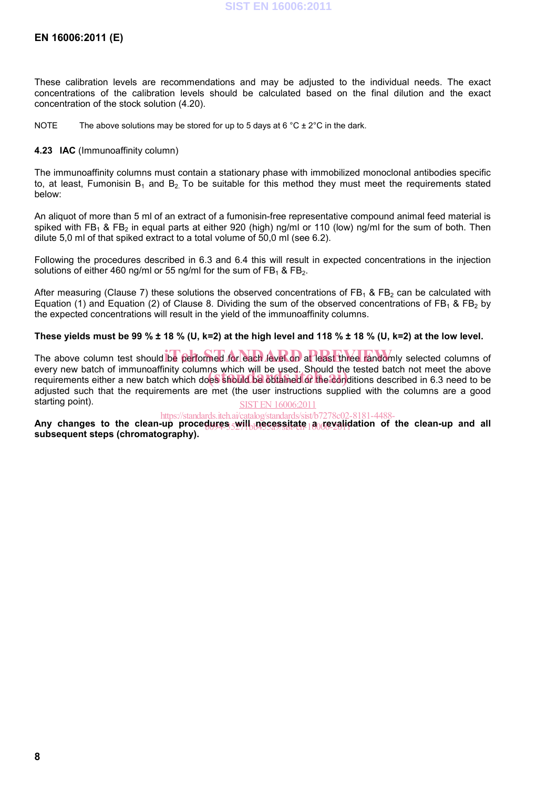These calibration levels are recommendations and may be adjusted to the individual needs. The exact concentrations of the calibration levels should be calculated based on the final dilution and the exact concentration of the stock solution (4.20).

NOTE The above solutions may be stored for up to 5 days at 6 °C  $\pm$  2°C in the dark.

#### **4.23 IAC** (Immunoaffinity column)

The immunoaffinity columns must contain a stationary phase with immobilized monoclonal antibodies specific to, at least, Fumonisin  $B_1$  and  $B_2$ . To be suitable for this method they must meet the requirements stated below:

An aliquot of more than 5 ml of an extract of a fumonisin-free representative compound animal feed material is spiked with  $FB_1$  &  $FB_2$  in equal parts at either 920 (high) ng/ml or 110 (low) ng/ml for the sum of both. Then dilute 5,0 ml of that spiked extract to a total volume of 50,0 ml (see 6.2).

Following the procedures described in 6.3 and 6.4 this will result in expected concentrations in the injection solutions of either 460 ng/ml or 55 ng/ml for the sum of  $FB_1$  &  $FB_2$ .

After measuring (Clause 7) these solutions the observed concentrations of  $FB<sub>1</sub>$  & FB<sub>2</sub> can be calculated with Equation (1) and Equation (2) of Clause 8. Dividing the sum of the observed concentrations of FB<sub>1</sub> & FB<sub>2</sub> by the expected concentrations will result in the yield of the immunoaffinity columns.

**These yields must be 99 % ± 18 % (U, k=2) at the high level and 118 % ± 18 % (U, k=2) at the low level.** 

The above column test should be performed for each level on at least three randomly selected columns of every new batch of immunoaffinity columns which will be used. Should the tested batch not meet the above every new batch of immunoaffinity columns which will be used. Should the tested batch not meet the above<br>requirements either a new batch which does should be obtained or the conditions described in 6.3 need to be adjusted such that the requirements are met (the user instructions supplied with the columns are a good starting point). SIST EN 16006:2011

**Any changes to the clean-up procedures will necessitate a revalidation of the clean-up and all**<br>Any changes to the clean-up procedures will necessitate a revalidation of the clean-up and all **subsequent steps (chromatography).**   $9094-3527160435a78817a18_0062419$